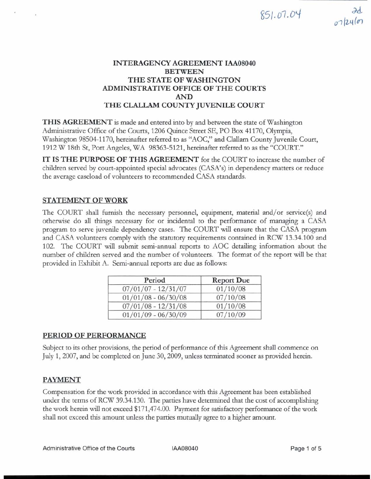# $851.07.04$

## **INTERAGENCY AGREEMENT IAA08040 BETWEEN THE STATE OF WASHINGTON ADMINISTRATIVE OFFICE OF THE COURTS AND THE CLALLAM COUNTY JUVENILE COURT**

**THIS AGREEMENT** is made and entered into by and between the state of Washington Administrative Office of the Courts, 1206 Quince Street SE, PO Box 41170, Olympia, Washington 98504-1170, hereinafter referred to as "AOC," and Clallam County Juvenile Court, 1912 W 18th St, Port Angeles, WA 98363-5121, hereinafter referred to as the "COURT."

**IT IS THE PURPOSE OF THIS AGREEMENT** for the COURT to increase the number of children served by court-appointed special advocates (CASA's) in dependency matters or reduce the average caseload of volunteers to recommended CASA standards.

## **STATEMENT OF WORK**

The COURT shall furnish the necessary personnel, equipment, material and/or service(s) and otherwise do all things necessary for or incidental to the performance of managing a CASA program to serve juvenile dependency cases. The COURT will ensure that the CASA program and CASA volunteers comply with the statutory requirements contained in RCW 13.34.100 and 102. The COURT will submit semi-annual reports to AOC detailmg information about the number of children served and the number of volunteers. The format of the report will be that provided in Exhibit A. Semi-annual reports are due as follows:

| Period                | <b>Report Due</b> |
|-----------------------|-------------------|
| $07/01/07 - 12/31/07$ | 01/10/08          |
| $01/01/08 - 06/30/08$ | 07/10/08          |
| $07/01/08 - 12/31/08$ | 01/10/08          |
| $01/01/09 - 06/30/09$ | 07/10/09          |

## **PERIOD OF PERFORMANCE**

Subject to its other provisions, the period of performance of this Agreement shall commence on July 1,2007, and be completed on June 30,2009, unless terminated sooner as provided herein.

# **PAYMENT**

Compensation for the work provided in accordance with this Agreement has been established under the terms of RCW 39.34.130. The parties have determined that the cost of accomplishing<br>the work herein will not exceed \$171,474.00. Payment for satisfactory performance of the work shall not exceed this amount unless the parties mutually agree to a higher amount.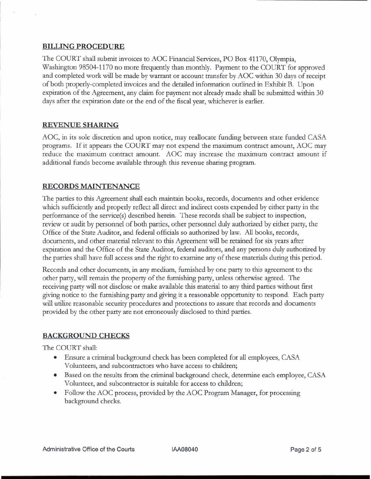#### **BILLING PROCEDURE**

The COURT shall submit invoices to AOC Financial Services, PO Box 41170, Olympia, Washington 98504-1 170 no more frequently than monthly. Payment to the COURT for approved and completed work will be made by warrant or account transfer by AOC within 30 days of receipt of both properly-completed invoices and the detailed information ouhed in Exhibit B. Upon expiration of the Agreement, any **claim** for payment not already made shall be submitted within 30 days after the expiration date or the end of the fiscal year, whichever is earlier.

## **REVENUE SHARING**

AOC, in its sole discretion and upon notice, may reallocate funding between state funded CASA programs. If it appears the COURT may not expend the maximum contract amount, AOC may reduce the maximum contract amount. AOC may increase the maximum contract amount if additional funds become available through this revenue sharing program.

## **RECORDS MAINTENANCE**

The parties to this Agreement shall each maintain books, records, documents and other evidence which sufficiently and properly reflect all direct and indirect costs expended by either party in the performance of the service(s) described herein. These records shall be subject to inspection, review or audit by personnel of both parties, other personnel duly authorized by either party, the Office of the State Auditor, and federal officials so authorized by law. All books, records, documents, and other material relevant to this Agreement will be retained for six years after expiration and the Office of the State Auditor, federal auditors, and any persons duly authorized by the parties shall have fidl access and the right to examine any of these materials during this period.

Records and other documents, in any medium, furnished by one party to this agreement to the other party, will remain the property of the furmshing party, unless otherwise agreed. The receiving party will not disclose or make available this material to any third parties without first giving notice to the furmshing party and giving it a reasonable opportunity to respond. Each party will utilize reasonable security procedures and protections to assure that records and documents provided by the other party are not erroneously disclosed to third parties.

#### **BACKGROUND CHECKS**

The COURT shall.

- Ensure a criminal background check has been completed for **all** employees, CASA Volunteers, and subcontractors who have access to children;
- Based on the results from the criminal background check, determine each employee, CASA Volunteer, and subcontractor is suitable for access to children;
- Follow the AOC process, provided by the AOC Program Manager, for processing background checks.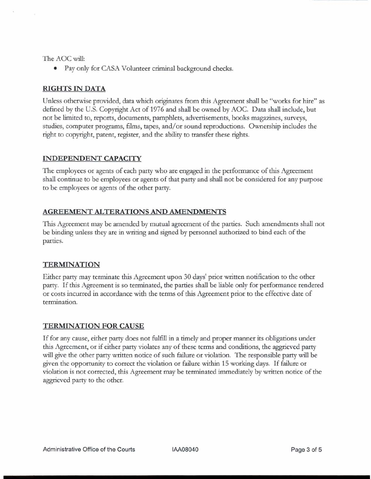The AOC will:

• Pay only for CASA Volunteer criminal background checks.

## **RIGHTS IN DATA**

Unless otherwise provided, data which onginates from this Agreement shall be "works for hire" as defined by the U.S. Copyright Act of 1976 and shall be owned by AOC. Data shall include, but not be limited to, reports, documents, pamphlets, advertisements, books magazines, surveys, studies, computer programs, films, tapes, and/or sound reproductions. Ownership includes the right to copyright, patent, register, and the ability to transfer these rights.

## **INDEPENDENT CAPACITY**

The employees or agents of each party who are engaged in the performance of this Agreement shall continue to be employees or agents of that party and shall not be considered for any purpose to be employees or agents of the other party.

## **AGREEMENT ALTERATIONS AND AMENDMENTS**

This Agreement may be amended by mutual agreement of the parties. Such amendments shall not be binding unless they are in writing and signed by personnel authorized to bind each of the parties.

## **TERMINATION**

Either party may terminate this Agreement upon **30** days' prior written notification to the other party. If this Agreement is so terminated, the parties shall be liable only for performance rendered or costs incurred in accordance with the terms of this Agreement prior to the effective date of termination.

## **TERMINATION FOR CAUSE**

If for any cause, either party does not fulfill in a timely and proper manner its obligations under this Agreement, or if either party violates any of these terms and conditions, the aggrieved party will give the other party written notice of such failure or violation. The responsible party will be given the opportunity to correct the violation or failure within 15 working days. If failure or violation is not corrected, this Agreement may be terminated immediately by written notice of the aggrieved party to the other.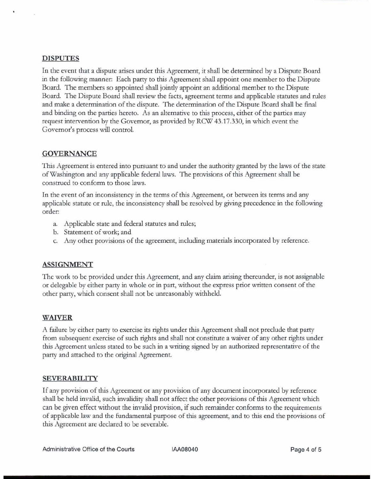#### **DISPUTES**

In the went that a dispute arises under this Agreement, it shall be determined by a Dispute Board in the following manner: Each party to this Agreement shall appoint one member to the Dispute Board. The members so appointed shall jointly appoint an additional member to the Dispute Board. The Dispute Board shall review the facts, agreement terms and applicable statutes and rules and make a determination of the dispute. The determination of the Dispute Board shall be final and binding on the parties hereto. As an alternative to this process, either of the parties may request intervention by the Governor, as provided by RCW 43.17.330, in which event the Governor's process will control.

#### **GOVERNANCE**

This Agreement is entered into pursuant to and under the authority granted by the laws of the state of Washington and any applicable federal laws. The provisions of this Agreement shall be construed to conform to those laws.

In the event of an inconsistency in the terms of this Agreement, or between its terms and any applicable statute or rule, the inconsistency shall be resolved by giving precedence in the following order:

- a. Applicable state and federal statutes and rules;
- b. Statement of work; and
- c. **Any** other provisions of the agreement, including materials incorporated by reference.

#### **ASSIGNMENT**

The work to be provided under this Agreement, and any *clam* arising thereunder, is not assignable or delegable by either party in whole or in part, without the express prior written consent of the other party, which consent shall not be unreasonably withheld.

#### **WAIVER**

A failure by either party to exercise its rights under this Agreement shall not preclude that party from subsequent exercise of such rights and shall not constitute a waiver of any other rights under this Agreement unless stated to be such in a writing signed by an authorized representative of the party and attached to the original Agreement.

#### **SEVERABILITY**

If any provision of this Agreement or any provision of any document incorporated by reference shall be held invalid, such invalidity shall not affect the other provisions of this Agreement which can be given **effect** without the invahd provision, if such remainder conforms to the requirements of applicable law and the fundamental purpose of this agreement, and to this end the provisions of this Agreement are declared to be severable.